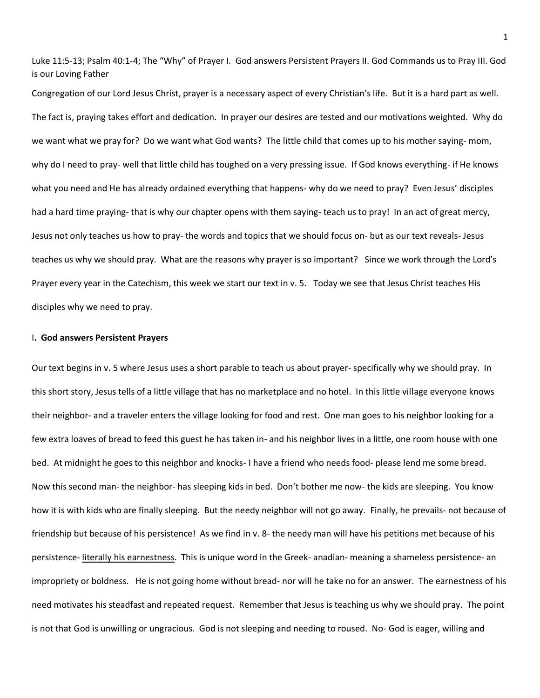Luke 11:5-13; Psalm 40:1-4; The "Why" of Prayer I. God answers Persistent Prayers II. God Commands us to Pray III. God is our Loving Father

Congregation of our Lord Jesus Christ, prayer is a necessary aspect of every Christian's life. But it is a hard part as well. The fact is, praying takes effort and dedication. In prayer our desires are tested and our motivations weighted. Why do we want what we pray for? Do we want what God wants? The little child that comes up to his mother saying- mom, why do I need to pray- well that little child has toughed on a very pressing issue. If God knows everything- if He knows what you need and He has already ordained everything that happens- why do we need to pray? Even Jesus' disciples had a hard time praying- that is why our chapter opens with them saying- teach us to pray! In an act of great mercy, Jesus not only teaches us how to pray- the words and topics that we should focus on- but as our text reveals- Jesus teaches us why we should pray. What are the reasons why prayer is so important? Since we work through the Lord's Prayer every year in the Catechism, this week we start our text in v. 5. Today we see that Jesus Christ teaches His disciples why we need to pray.

## I**. God answers Persistent Prayers**

Our text begins in v. 5 where Jesus uses a short parable to teach us about prayer- specifically why we should pray. In this short story, Jesus tells of a little village that has no marketplace and no hotel. In this little village everyone knows their neighbor- and a traveler enters the village looking for food and rest. One man goes to his neighbor looking for a few extra loaves of bread to feed this guest he has taken in- and his neighbor lives in a little, one room house with one bed. At midnight he goes to this neighbor and knocks- I have a friend who needs food- please lend me some bread. Now this second man- the neighbor- has sleeping kids in bed. Don't bother me now- the kids are sleeping. You know how it is with kids who are finally sleeping. But the needy neighbor will not go away. Finally, he prevails- not because of friendship but because of his persistence! As we find in v. 8- the needy man will have his petitions met because of his persistence- literally his earnestness. This is unique word in the Greek- anadian- meaning a shameless persistence- an impropriety or boldness. He is not going home without bread- nor will he take no for an answer. The earnestness of his need motivates his steadfast and repeated request. Remember that Jesus is teaching us why we should pray. The point is not that God is unwilling or ungracious. God is not sleeping and needing to roused. No- God is eager, willing and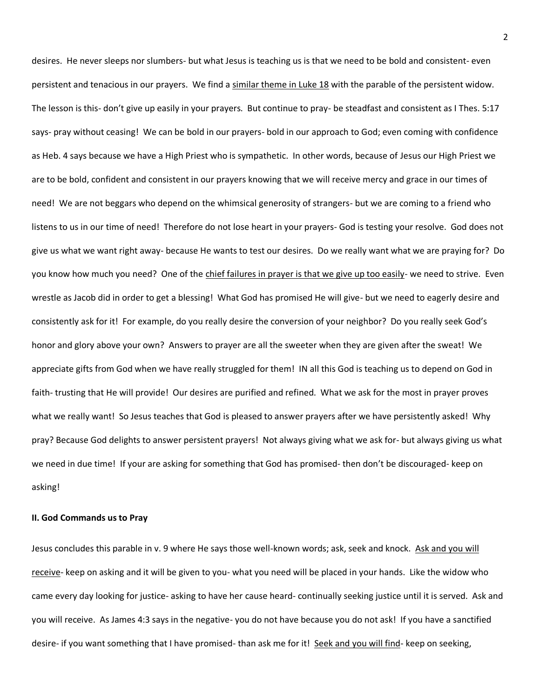desires. He never sleeps nor slumbers- but what Jesus is teaching us is that we need to be bold and consistent- even persistent and tenacious in our prayers. We find a similar theme in Luke 18 with the parable of the persistent widow. The lesson is this- don't give up easily in your prayers. But continue to pray- be steadfast and consistent as I Thes. 5:17 says- pray without ceasing! We can be bold in our prayers- bold in our approach to God; even coming with confidence as Heb. 4 says because we have a High Priest who is sympathetic. In other words, because of Jesus our High Priest we are to be bold, confident and consistent in our prayers knowing that we will receive mercy and grace in our times of need! We are not beggars who depend on the whimsical generosity of strangers- but we are coming to a friend who listens to us in our time of need! Therefore do not lose heart in your prayers- God is testing your resolve. God does not give us what we want right away- because He wants to test our desires. Do we really want what we are praying for? Do you know how much you need? One of the chief failures in prayer is that we give up too easily- we need to strive. Even wrestle as Jacob did in order to get a blessing! What God has promised He will give- but we need to eagerly desire and consistently ask for it! For example, do you really desire the conversion of your neighbor? Do you really seek God's honor and glory above your own? Answers to prayer are all the sweeter when they are given after the sweat! We appreciate gifts from God when we have really struggled for them! IN all this God is teaching us to depend on God in faith- trusting that He will provide! Our desires are purified and refined. What we ask for the most in prayer proves what we really want! So Jesus teaches that God is pleased to answer prayers after we have persistently asked! Why pray? Because God delights to answer persistent prayers! Not always giving what we ask for- but always giving us what we need in due time! If your are asking for something that God has promised- then don't be discouraged- keep on asking!

## **II. God Commands us to Pray**

Jesus concludes this parable in v. 9 where He says those well-known words; ask, seek and knock. Ask and you will receive- keep on asking and it will be given to you- what you need will be placed in your hands. Like the widow who came every day looking for justice- asking to have her cause heard- continually seeking justice until it is served. Ask and you will receive. As James 4:3 says in the negative- you do not have because you do not ask! If you have a sanctified desire- if you want something that I have promised- than ask me for it! Seek and you will find- keep on seeking,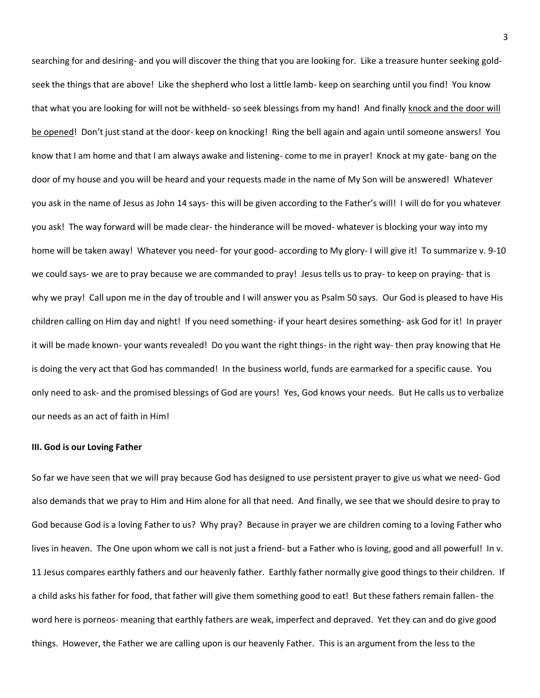searching for and desiring- and you will discover the thing that you are looking for. Like a treasure hunter seeking goldseek the things that are above! Like the shepherd who lost a little lamb- keep on searching until you find! You know that what you are looking for will not be withheld- so seek blessings from my hand! And finally knock and the door will be opened! Don't just stand at the door- keep on knocking! Ring the bell again and again until someone answers! You know that I am home and that I am always awake and listening- come to me in prayer! Knock at my gate- bang on the door of my house and you will be heard and your requests made in the name of My Son will be answered! Whatever you ask in the name of Jesus as John 14 says- this will be given according to the Father's will! I will do for you whatever you ask! The way forward will be made clear- the hinderance will be moved- whatever is blocking your way into my home will be taken away! Whatever you need- for your good- according to My glory- I will give it! To summarize v. 9-10 we could says- we are to pray because we are commanded to pray! Jesus tells us to pray- to keep on praying- that is why we pray! Call upon me in the day of trouble and I will answer you as Psalm 50 says. Our God is pleased to have His children calling on Him day and night! If you need something- if your heart desires something- ask God for it! In prayer it will be made known- your wants revealed! Do you want the right things- in the right way- then pray knowing that He is doing the very act that God has commanded! In the business world, funds are earmarked for a specific cause. You only need to ask- and the promised blessings of God are yours! Yes, God knows your needs. But He calls us to verbalize our needs as an act of faith in Him!

## **III. God is our Loving Father**

So far we have seen that we will pray because God has designed to use persistent prayer to give us what we need- God also demands that we pray to Him and Him alone for all that need. And finally, we see that we should desire to pray to God because God is a loving Father to us? Why pray? Because in prayer we are children coming to a loving Father who lives in heaven. The One upon whom we call is not just a friend- but a Father who is loving, good and all powerful! In v. 11 Jesus compares earthly fathers and our heavenly father. Earthly father normally give good things to their children. If a child asks his father for food, that father will give them something good to eat! But these fathers remain fallen- the word here is porneos- meaning that earthly fathers are weak, imperfect and depraved. Yet they can and do give good things. However, the Father we are calling upon is our heavenly Father. This is an argument from the less to the